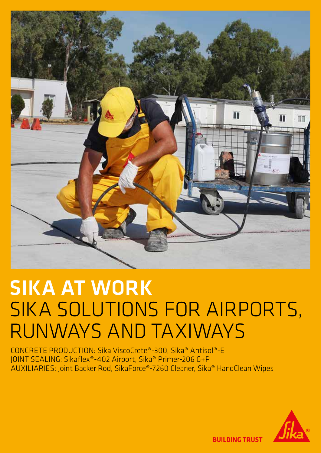

# SIKA AT WORK SIKA SOLUTIONS FOR AIRPORTS, RUNWAYS AND TAXIWAYS

CONCRETE PRODUCTION: Sika ViscoCrete®-300, Sika® Antisol®-E JOINT SEALING: Sikaflex®-402 Airport, Sika® Primer-206 G+P AUXILIARIES: Joint Backer Rod, SikaForce®-7260 Cleaner, Sika® HandClean Wipes



**BUILDING TRUST**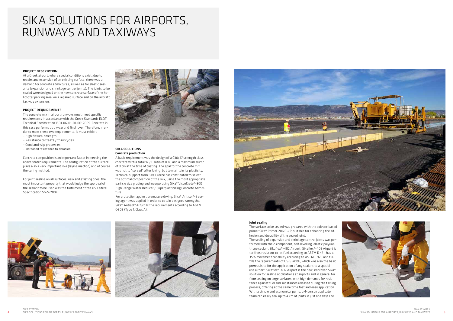

#### PROJECT DESCRIPTION

At a Greek airport, where special conditions exist, due to repairs and extension of an existing surface, there was a demand for concrete admixtures, as well as for elastic sealants (expansion and shrinkage control joints). The joints to be sealed were designed on the new concrete surface of the helicopter parking area, on a repaired surface and on the aircraft taxiway extension.

#### PROJECT REQUIREMENTS

The concrete mix in airport runways must meet specific requirements in accordance with the Greek Standards ELOT Technical Specification 1501-06-01-01-00: 2009. Concrete in this case performs as a wear and final layer. Therefore, in order to meet these two requirements, it must exhibit:

- High flexural strength – Resistance to freeze / thaw cycles
- Good anti-slip properties
- Increased resistance to abrasion

Concrete composition is an important factor in meeting the above stated requirements. The configuration of the surface plays also a very important role (laying method) and of course the curing method.

For joint sealing on all surfaces, new and existing ones, the most important property that would judge the approval of the sealant to be used was the fulfillment of the US Federal Specification SS-S-200E.



#### SIKA SOLUTIONS Concrete production

A basic requirement was the design of a C30/37 strength class concrete with a total W / C ratio of 0.49 and a maximum slump of 3 cm at the time of casting. The goal for the concrete mix was not to "spread" after laying, but to maintain its plasticity. Technical support from Sika Greece has contributed to select the optimal composition of the mix, using the most appropriate particle size grading and incorporating Sika® ViscoCrete®-300 High Range Water Reducer / Superplasticizing Concrete Admixture.

For protection against premature drying, Sika® Antisol®-E curing agent was applied in order to obtain designed strengths. Sika® Antisol®-E fulfills the requirements according to ASTM C-309 (Type 1, Class A).







## SIKA SOLUTIONS FOR AIRPORTS, RUNWAYS AND TAXIWAYS

#### Joint sealing

The surface to be sealed was prepared with the solvent-based primer Sika® Primer-206 G + P, suitable for enhancing the adhesion and durability of the sealed joint.

The sealing of expansion and shrinkage control joints was performed with the 2-component, self-levelling, elastic polyurethane sealant Sikaflex®-402 Airport. Sikaflex®-402 Airport is tar free, resistant to jet fuel according to ASTM D 471, has ± 35% movement capability according to ASTM C 920 and fulfills the requirements of US-S-200E, which was also the basic prerequisite for the application of any sealant to a special use airport. Sikaflex®-402 Airport is the new, improved Sika® solution for sealing applications at airports and in general for floor sealing on large surfaces, with high demands for resistance against fuel and substances released during the taxiing process, offering at the same time fast and easy application. With a simple and economical pump, a 4-person applicator team can easily seal up to 4 km of joints in just one day! The